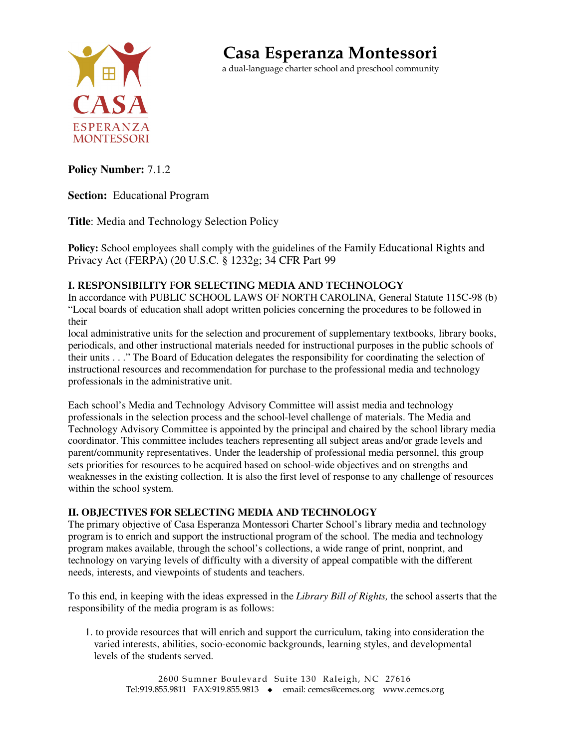

**Casa Esperanza Montessori**

a dual-language charter school and preschool community

## **Policy Number:** 7.1.2

**Section:** Educational Program

**Title**: Media and Technology Selection Policy

**Policy:** School employees shall comply with the guidelines of the Family Educational Rights and Privacy Act (FERPA) (20 U.S.C. § 1232g; 34 CFR Part 99

## **I. RESPONSIBILITY FOR SELECTING MEDIA AND TECHNOLOGY**

In accordance with PUBLIC SCHOOL LAWS OF NORTH CAROLINA, General Statute 115C-98 (b) "Local boards of education shall adopt written policies concerning the procedures to be followed in their

local administrative units for the selection and procurement of supplementary textbooks, library books, periodicals, and other instructional materials needed for instructional purposes in the public schools of their units . . ." The Board of Education delegates the responsibility for coordinating the selection of instructional resources and recommendation for purchase to the professional media and technology professionals in the administrative unit.

Each school's Media and Technology Advisory Committee will assist media and technology professionals in the selection process and the school-level challenge of materials. The Media and Technology Advisory Committee is appointed by the principal and chaired by the school library media coordinator. This committee includes teachers representing all subject areas and/or grade levels and parent/community representatives. Under the leadership of professional media personnel, this group sets priorities for resources to be acquired based on school-wide objectives and on strengths and weaknesses in the existing collection. It is also the first level of response to any challenge of resources within the school system.

## **II. OBJECTIVES FOR SELECTING MEDIA AND TECHNOLOGY**

The primary objective of Casa Esperanza Montessori Charter School's library media and technology program is to enrich and support the instructional program of the school. The media and technology program makes available, through the school's collections, a wide range of print, nonprint, and technology on varying levels of difficulty with a diversity of appeal compatible with the different needs, interests, and viewpoints of students and teachers.

To this end, in keeping with the ideas expressed in the *Library Bill of Rights,* the school asserts that the responsibility of the media program is as follows:

1. to provide resources that will enrich and support the curriculum, taking into consideration the varied interests, abilities, socio-economic backgrounds, learning styles, and developmental levels of the students served.

2600 Sumner Boulevard Suite 130 Raleigh, NC 27616 Tel:919.855.9811 FAX:919.855.9813 • email: cemcs@cemcs.org www.cemcs.org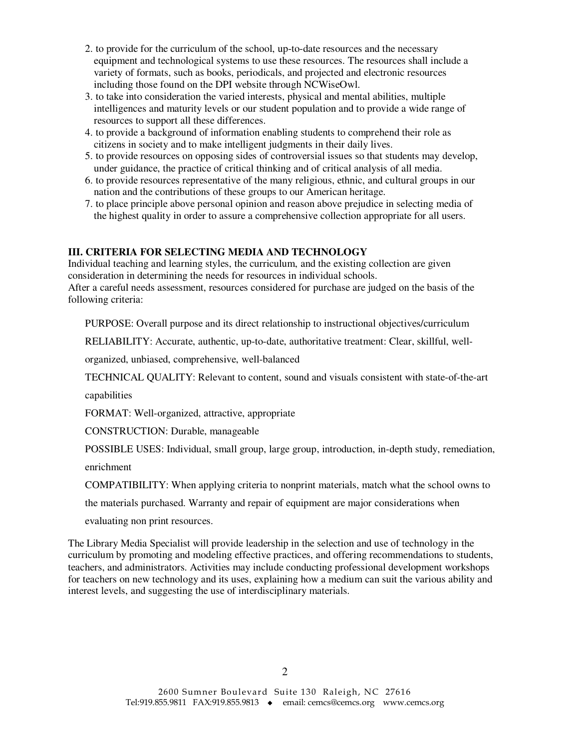- 2. to provide for the curriculum of the school, up-to-date resources and the necessary equipment and technological systems to use these resources. The resources shall include a variety of formats, such as books, periodicals, and projected and electronic resources including those found on the DPI website through NCWiseOwl.
- 3. to take into consideration the varied interests, physical and mental abilities, multiple intelligences and maturity levels or our student population and to provide a wide range of resources to support all these differences.
- 4. to provide a background of information enabling students to comprehend their role as citizens in society and to make intelligent judgments in their daily lives.
- 5. to provide resources on opposing sides of controversial issues so that students may develop, under guidance, the practice of critical thinking and of critical analysis of all media.
- 6. to provide resources representative of the many religious, ethnic, and cultural groups in our nation and the contributions of these groups to our American heritage.
- 7. to place principle above personal opinion and reason above prejudice in selecting media of the highest quality in order to assure a comprehensive collection appropriate for all users.

#### **III. CRITERIA FOR SELECTING MEDIA AND TECHNOLOGY**

Individual teaching and learning styles, the curriculum, and the existing collection are given consideration in determining the needs for resources in individual schools. After a careful needs assessment, resources considered for purchase are judged on the basis of the following criteria:

PURPOSE: Overall purpose and its direct relationship to instructional objectives/curriculum

RELIABILITY: Accurate, authentic, up-to-date, authoritative treatment: Clear, skillful, well-

organized, unbiased, comprehensive, well-balanced

TECHNICAL QUALITY: Relevant to content, sound and visuals consistent with state-of-the-art

capabilities

FORMAT: Well-organized, attractive, appropriate

CONSTRUCTION: Durable, manageable

POSSIBLE USES: Individual, small group, large group, introduction, in-depth study, remediation,

enrichment

COMPATIBILITY: When applying criteria to nonprint materials, match what the school owns to

the materials purchased. Warranty and repair of equipment are major considerations when

evaluating non print resources.

The Library Media Specialist will provide leadership in the selection and use of technology in the curriculum by promoting and modeling effective practices, and offering recommendations to students, teachers, and administrators. Activities may include conducting professional development workshops for teachers on new technology and its uses, explaining how a medium can suit the various ability and interest levels, and suggesting the use of interdisciplinary materials.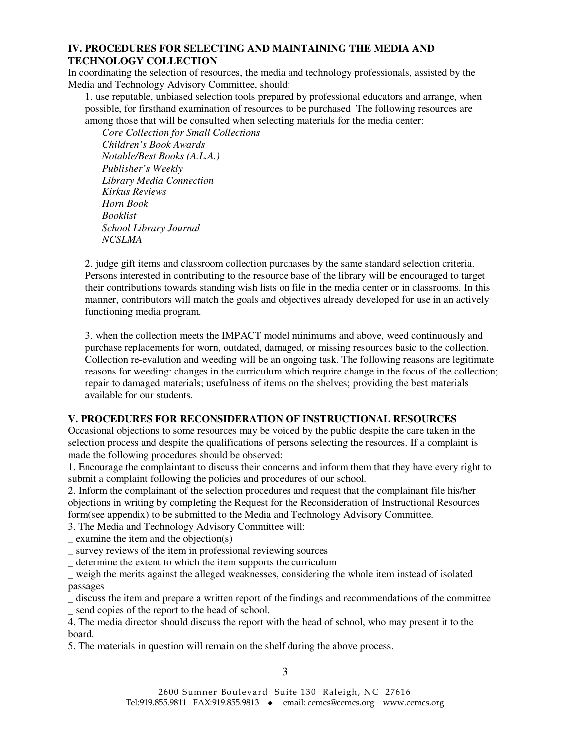## **IV. PROCEDURES FOR SELECTING AND MAINTAINING THE MEDIA AND TECHNOLOGY COLLECTION**

In coordinating the selection of resources, the media and technology professionals, assisted by the Media and Technology Advisory Committee, should:

1. use reputable, unbiased selection tools prepared by professional educators and arrange, when possible, for firsthand examination of resources to be purchased The following resources are among those that will be consulted when selecting materials for the media center:

 *Core Collection for Small Collections Children's Book Awards Notable/Best Books (A.L.A.) Publisher's Weekly Library Media Connection Kirkus Reviews Horn Book Booklist School Library Journal NCSLMA* 

2. judge gift items and classroom collection purchases by the same standard selection criteria. Persons interested in contributing to the resource base of the library will be encouraged to target their contributions towards standing wish lists on file in the media center or in classrooms. In this manner, contributors will match the goals and objectives already developed for use in an actively functioning media program.

3. when the collection meets the IMPACT model minimums and above, weed continuously and purchase replacements for worn, outdated, damaged, or missing resources basic to the collection. Collection re-evalution and weeding will be an ongoing task. The following reasons are legitimate reasons for weeding: changes in the curriculum which require change in the focus of the collection; repair to damaged materials; usefulness of items on the shelves; providing the best materials available for our students.

#### **V. PROCEDURES FOR RECONSIDERATION OF INSTRUCTIONAL RESOURCES**

Occasional objections to some resources may be voiced by the public despite the care taken in the selection process and despite the qualifications of persons selecting the resources. If a complaint is made the following procedures should be observed:

1. Encourage the complaintant to discuss their concerns and inform them that they have every right to submit a complaint following the policies and procedures of our school.

2. Inform the complainant of the selection procedures and request that the complainant file his/her objections in writing by completing the Request for the Reconsideration of Instructional Resources form(see appendix) to be submitted to the Media and Technology Advisory Committee.

3. The Media and Technology Advisory Committee will:

 $=$  examine the item and the objection(s)

\_ survey reviews of the item in professional reviewing sources

\_ determine the extent to which the item supports the curriculum

\_ weigh the merits against the alleged weaknesses, considering the whole item instead of isolated passages

\_ discuss the item and prepare a written report of the findings and recommendations of the committee \_ send copies of the report to the head of school.

4. The media director should discuss the report with the head of school, who may present it to the board.

5. The materials in question will remain on the shelf during the above process.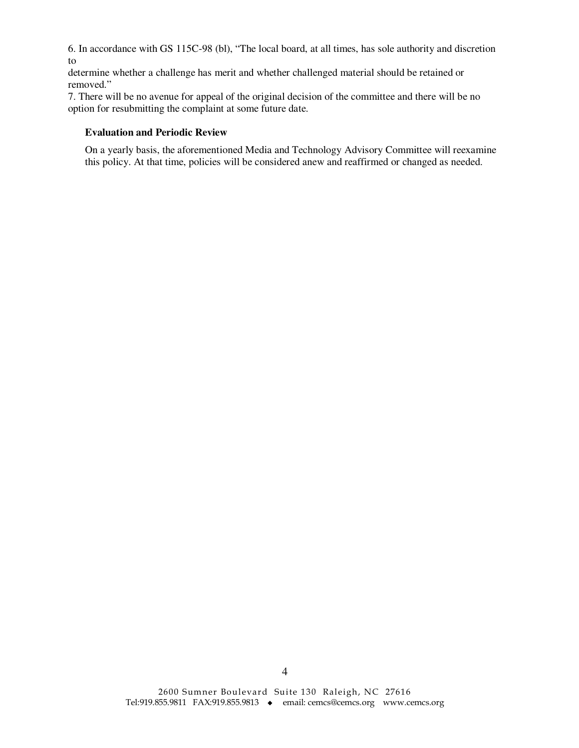6. In accordance with GS 115C-98 (bl), "The local board, at all times, has sole authority and discretion to

determine whether a challenge has merit and whether challenged material should be retained or removed."

7. There will be no avenue for appeal of the original decision of the committee and there will be no option for resubmitting the complaint at some future date.

#### **Evaluation and Periodic Review**

On a yearly basis, the aforementioned Media and Technology Advisory Committee will reexamine this policy. At that time, policies will be considered anew and reaffirmed or changed as needed.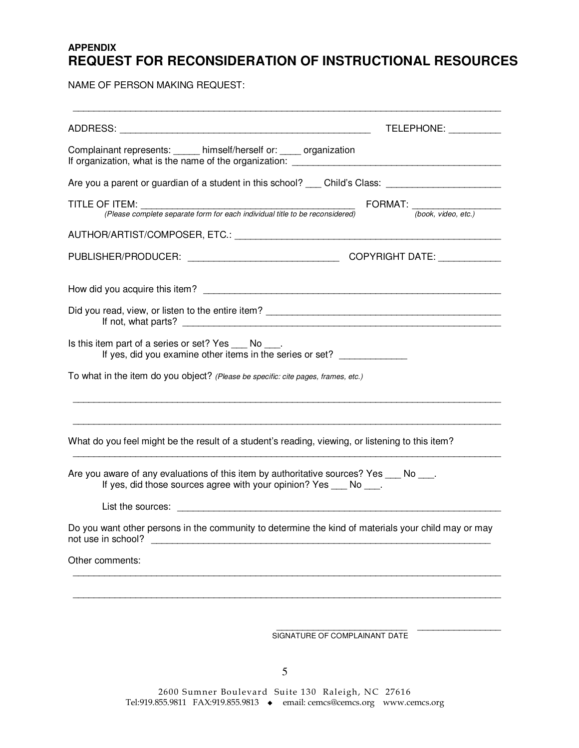# **APPENDIX REQUEST FOR RECONSIDERATION OF INSTRUCTIONAL RESOURCES**

NAME OF PERSON MAKING REQUEST:

| TELEPHONE: ___________                                                                                                                                |
|-------------------------------------------------------------------------------------------------------------------------------------------------------|
| Complainant represents: _____ himself/herself or: ____ organization                                                                                   |
| Are you a parent or guardian of a student in this school? ___ Child's Class: ______________________                                                   |
| TITLE OF ITEM:<br>FORMAT: (book, video, etc.)                                                                                                         |
|                                                                                                                                                       |
|                                                                                                                                                       |
|                                                                                                                                                       |
|                                                                                                                                                       |
| Is this item part of a series or set? Yes ____ No ____.<br>If yes, did you examine other items in the series or set?                                  |
| To what in the item do you object? (Please be specific: cite pages, frames, etc.)                                                                     |
| What do you feel might be the result of a student's reading, viewing, or listening to this item?                                                      |
| Are you aware of any evaluations of this item by authoritative sources? Yes ___ No ___.<br>If yes, did those sources agree with your opinion? Yes No. |
|                                                                                                                                                       |
| Do you want other persons in the community to determine the kind of materials your child may or may<br>not use in school?                             |
| Other comments:                                                                                                                                       |
|                                                                                                                                                       |
|                                                                                                                                                       |
|                                                                                                                                                       |

SIGNATURE OF COMPLAINANT DATE

2600 Sumner Boulevard Suite 130 Raleigh, NC 27616 Tel:919.855.9811 FAX:919.855.9813 email: cemcs@cemcs.org www.cemcs.org